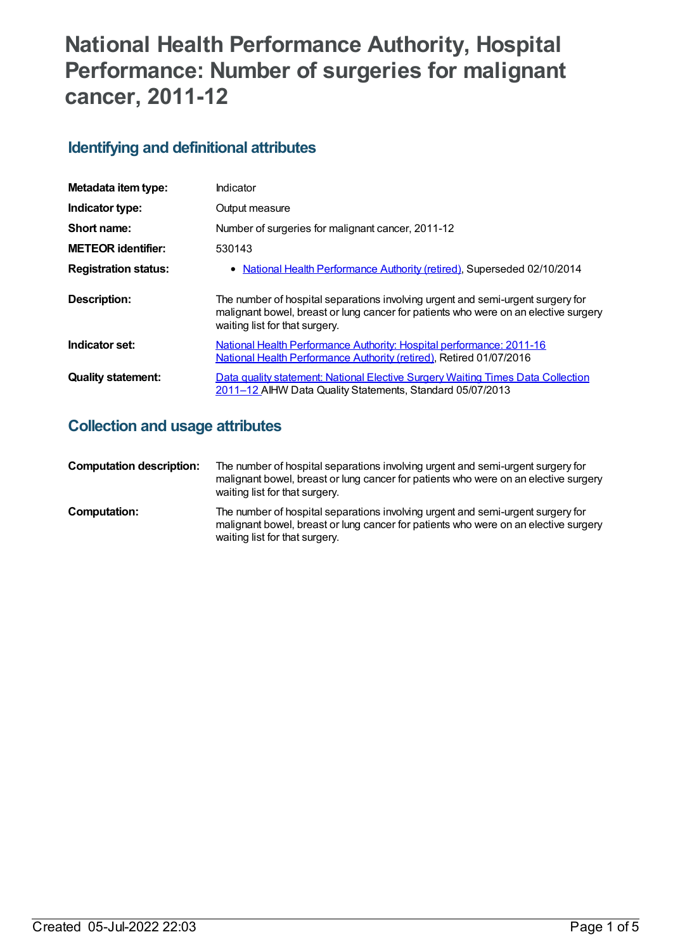# **National Health Performance Authority, Hospital Performance: Number of surgeries for malignant cancer, 2011-12**

## **Identifying and definitional attributes**

| Metadata item type:         | Indicator                                                                                                                                                                                                |
|-----------------------------|----------------------------------------------------------------------------------------------------------------------------------------------------------------------------------------------------------|
| Indicator type:             | Output measure                                                                                                                                                                                           |
| Short name:                 | Number of surgeries for malignant cancer, 2011-12                                                                                                                                                        |
| <b>METEOR identifier:</b>   | 530143                                                                                                                                                                                                   |
| <b>Registration status:</b> | • National Health Performance Authority (retired), Superseded 02/10/2014                                                                                                                                 |
| <b>Description:</b>         | The number of hospital separations involving urgent and semi-urgent surgery for<br>malignant bowel, breast or lung cancer for patients who were on an elective surgery<br>waiting list for that surgery. |
| Indicator set:              | National Health Performance Authority: Hospital performance: 2011-16<br>National Health Performance Authority (retired), Retired 01/07/2016                                                              |
| <b>Quality statement:</b>   | Data quality statement: National Elective Surgery Waiting Times Data Collection<br>2011-12 AIHW Data Quality Statements, Standard 05/07/2013                                                             |

## **Collection and usage attributes**

| <b>Computation description:</b> | The number of hospital separations involving urgent and semi-urgent surgery for<br>malignant bowel, breast or lung cancer for patients who were on an elective surgery<br>waiting list for that surgery. |
|---------------------------------|----------------------------------------------------------------------------------------------------------------------------------------------------------------------------------------------------------|
| Computation:                    | The number of hospital separations involving urgent and semi-urgent surgery for<br>malignant bowel, breast or lung cancer for patients who were on an elective surgery<br>waiting list for that surgery. |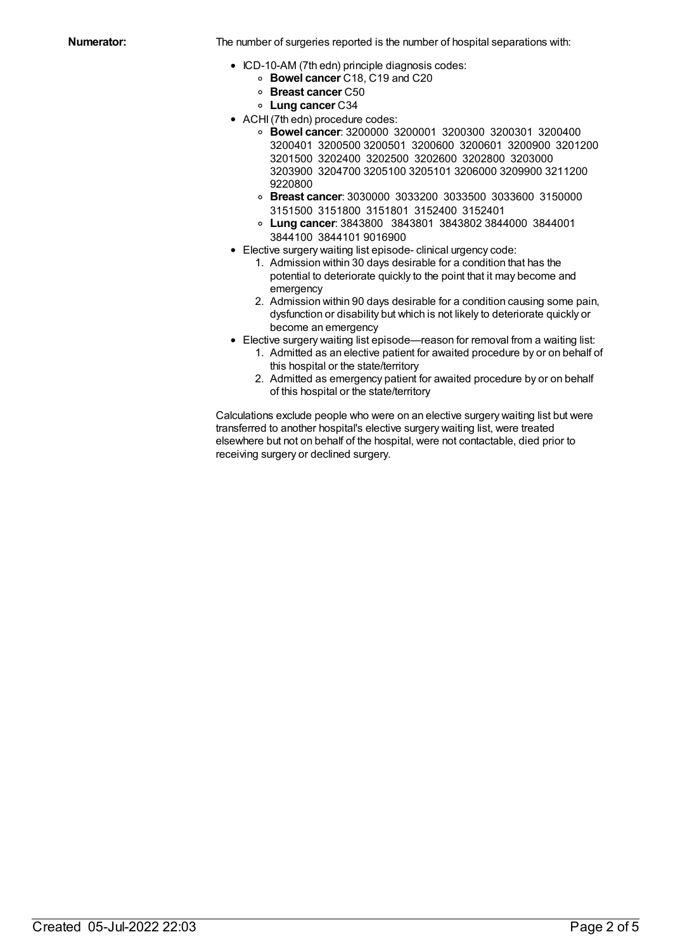**Numerator:** The number of surgeries reported is the number of hospital separations with:

- ICD-10-AM (7th edn) principle diagnosis codes:
	- **Bowel cancer** C18, C19 and C20
	- **Breast cancer** C50
	- **Lung cancer** C34
- ACHI (7th edn) procedure codes:
	- **Bowel cancer**: 3200000 3200001 3200300 3200301 3200400 3200401 3200500 3200501 3200600 3200601 3200900 3201200 3201500 3202400 3202500 3202600 3202800 3203000 3203900 3204700 3205100 3205101 3206000 3209900 3211200 9220800
	- **Breast cancer**: 3030000 3033200 3033500 3033600 3150000 3151500 3151800 3151801 3152400 3152401
	- **Lung cancer**: 3843800 3843801 3843802 3844000 3844001 3844100 3844101 9016900
- Elective surgery waiting list episode- clinical urgency code:
	- 1. Admission within 30 days desirable for a condition that has the potential to deteriorate quickly to the point that it may become and emergency
	- 2. Admission within 90 days desirable for a condition causing some pain, dysfunction or disability but which is not likely to deteriorate quickly or become an emergency
- Elective surgery waiting list episode—reason for removal from a waiting list:
	- 1. Admitted as an elective patient for awaited procedure by or on behalf of this hospital or the state/territory
	- 2. Admitted as emergency patient for awaited procedure by or on behalf of this hospital or the state/territory

Calculations exclude people who were on an elective surgery waiting list but were transferred to another hospital's elective surgery waiting list, were treated elsewhere but not on behalf of the hospital, were not contactable, died prior to receiving surgery or declined surgery.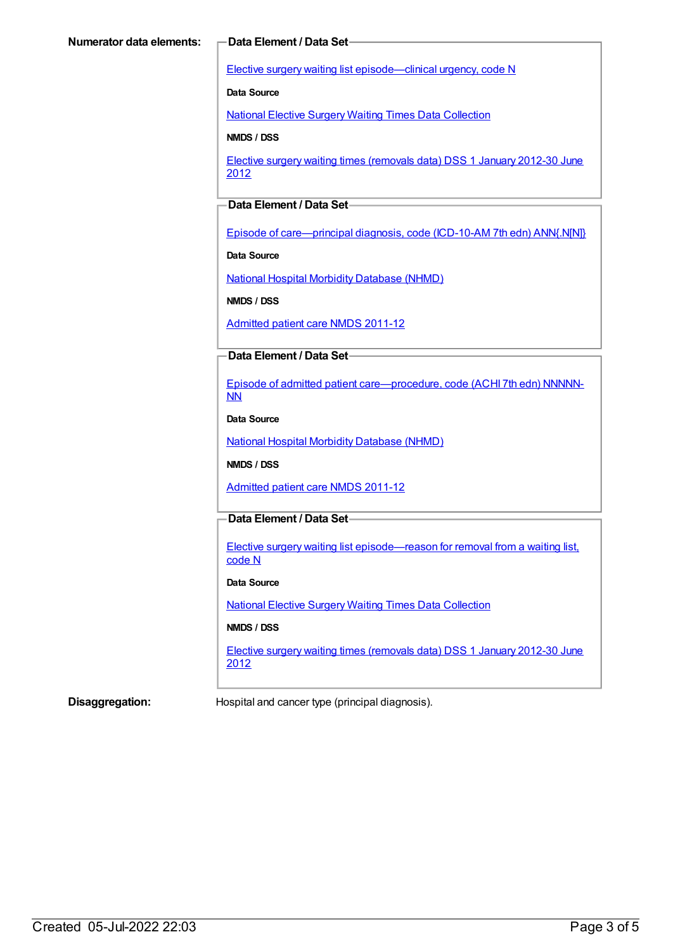Elective surgery waiting list [episode—clinical](https://meteor.aihw.gov.au/content/270008) urgency, code N

**Data Source**

National Elective Surgery Waiting Times Data [Collection](https://meteor.aihw.gov.au/content/395071)

**NMDS / DSS**

Elective surgery waiting times [\(removals](https://meteor.aihw.gov.au/content/470097) data) DSS 1 January 2012-30 June 2012

### **Data Element / Data Set**

Episode of [care—principal](https://meteor.aihw.gov.au/content/391326) diagnosis, code (ICD-10-AM 7th edn) ANN{.N[N]}

**Data Source**

National Hospital Morbidity [Database](https://meteor.aihw.gov.au/content/394352) (NHMD)

**NMDS / DSS**

[Admitted](https://meteor.aihw.gov.au/content/426861) patient care NMDS 2011-12

#### **Data Element / Data Set**

Episode of admitted patient [care—procedure,](https://meteor.aihw.gov.au/content/391349) code (ACHI 7th edn) NNNNN-NN

**Data Source**

National Hospital Morbidity [Database](https://meteor.aihw.gov.au/content/394352) (NHMD)

**NMDS / DSS**

[Admitted](https://meteor.aihw.gov.au/content/426861) patient care NMDS 2011-12

### **Data Element / Data Set**

Elective surgery waiting list [episode—reason](https://meteor.aihw.gov.au/content/471735) for removal from a waiting list, code N

#### **Data Source**

National Elective Surgery Waiting Times Data [Collection](https://meteor.aihw.gov.au/content/395071)

#### **NMDS / DSS**

Elective surgery waiting times [\(removals](https://meteor.aihw.gov.au/content/470097) data) DSS 1 January 2012-30 June 2012

**Disaggregation:** Hospital and cancer type (principal diagnosis).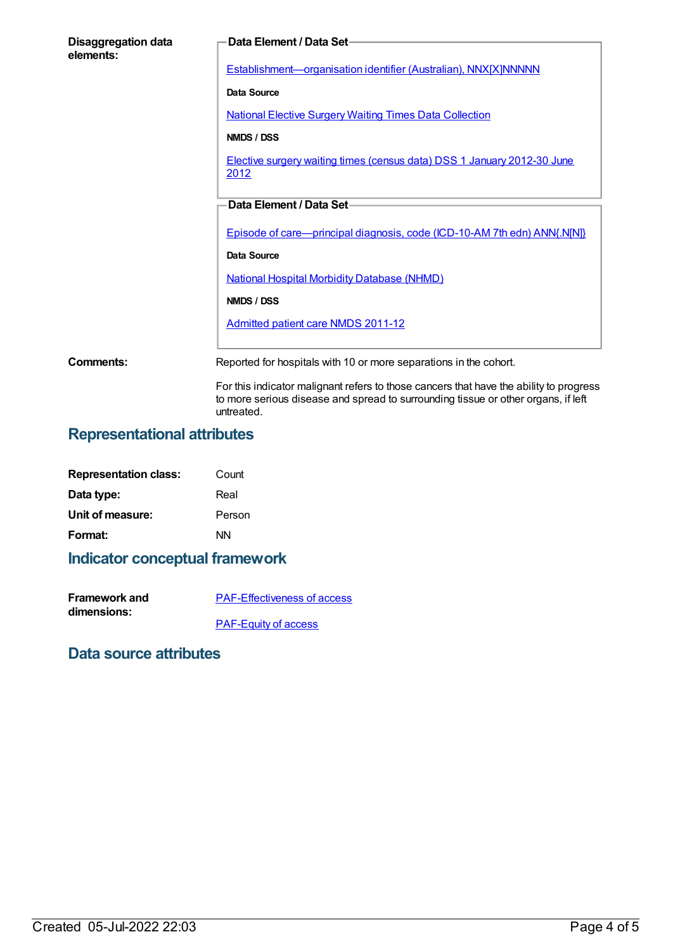| Disaggregation data<br>elements: | Data Element / Data Set-                                                                                                                                                    |
|----------------------------------|-----------------------------------------------------------------------------------------------------------------------------------------------------------------------------|
|                                  | Establishment-organisation identifier (Australian), NNX[X]NNNNN                                                                                                             |
|                                  | Data Source                                                                                                                                                                 |
|                                  | <b>National Elective Surgery Waiting Times Data Collection</b>                                                                                                              |
|                                  | NMDS / DSS                                                                                                                                                                  |
|                                  | Elective surgery waiting times (census data) DSS 1 January 2012-30 June<br>2012                                                                                             |
|                                  | Data Element / Data Set-                                                                                                                                                    |
|                                  | Episode of care—principal diagnosis, code (ICD-10-AM 7th edn) ANN{.N[N]}                                                                                                    |
|                                  | Data Source                                                                                                                                                                 |
|                                  | <b>National Hospital Morbidity Database (NHMD)</b>                                                                                                                          |
|                                  | NMDS / DSS                                                                                                                                                                  |
|                                  | <b>Admitted patient care NMDS 2011-12</b>                                                                                                                                   |
| Comments:                        | Reported for hospitals with 10 or more separations in the cohort.                                                                                                           |
|                                  | For this indicator malignant refers to those cancers that have the ability to progress<br>to more serious disease and spread to surrounding tissue or other organs, if left |

## **Representational attributes**

| <b>Representation class:</b> | Count  |
|------------------------------|--------|
| Data type:                   | Real   |
| Unit of measure:             | Person |
| Format:                      | ΝN     |

## **Indicator conceptual framework**

| <b>Framework and</b> | <b>PAF-Effectiveness of access</b> |
|----------------------|------------------------------------|
| dimensions:          |                                    |
|                      | <b>PAF-Equity of access</b>        |

untreated.

## **Data source attributes**